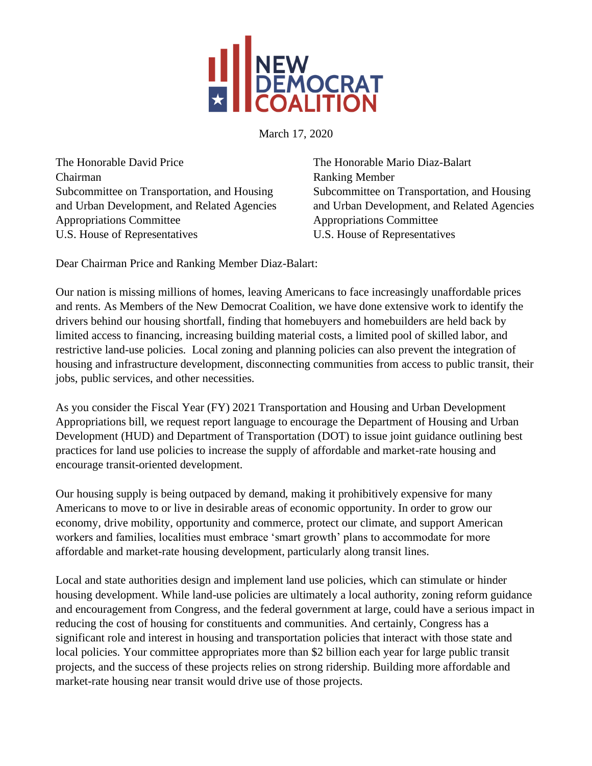

March 17, 2020

The Honorable David Price Chairman Subcommittee on Transportation, and Housing and Urban Development, and Related Agencies Appropriations Committee U.S. House of Representatives

The Honorable Mario Diaz-Balart Ranking Member Subcommittee on Transportation, and Housing and Urban Development, and Related Agencies Appropriations Committee U.S. House of Representatives

Dear Chairman Price and Ranking Member Diaz-Balart:

Our nation is missing millions of homes, leaving Americans to face increasingly unaffordable prices and rents. As Members of the New Democrat Coalition, we have done extensive work to identify the drivers behind our housing shortfall, finding that homebuyers and homebuilders are held back by limited access to financing, increasing building material costs, a limited pool of skilled labor, and restrictive land-use policies. Local zoning and planning policies can also prevent the integration of housing and infrastructure development, disconnecting communities from access to public transit, their jobs, public services, and other necessities.

As you consider the Fiscal Year (FY) 2021 Transportation and Housing and Urban Development Appropriations bill, we request report language to encourage the Department of Housing and Urban Development (HUD) and Department of Transportation (DOT) to issue joint guidance outlining best practices for land use policies to increase the supply of affordable and market-rate housing and encourage transit-oriented development.

Our housing supply is being outpaced by demand, making it prohibitively expensive for many Americans to move to or live in desirable areas of economic opportunity. In order to grow our economy, drive mobility, opportunity and commerce, protect our climate, and support American workers and families, localities must embrace 'smart growth' plans to accommodate for more affordable and market-rate housing development, particularly along transit lines.

Local and state authorities design and implement land use policies, which can stimulate or hinder housing development. While land-use policies are ultimately a local authority, zoning reform guidance and encouragement from Congress, and the federal government at large, could have a serious impact in reducing the cost of housing for constituents and communities. And certainly, Congress has a significant role and interest in housing and transportation policies that interact with those state and local policies. Your committee appropriates more than \$2 billion each year for large public transit projects, and the success of these projects relies on strong ridership. Building more affordable and market-rate housing near transit would drive use of those projects.